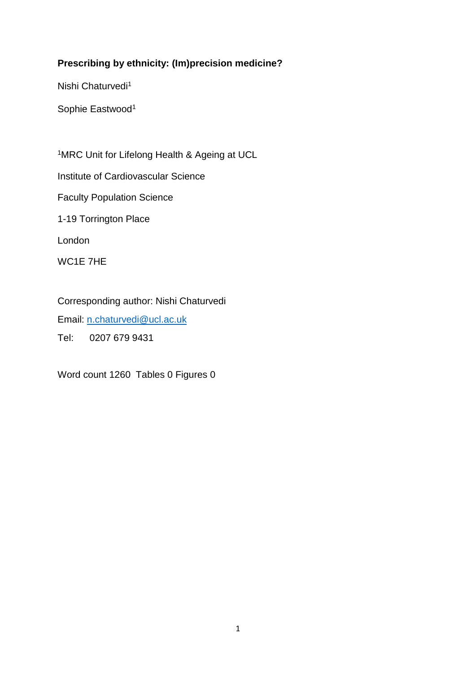## **Prescribing by ethnicity: (Im)precision medicine?**

Nishi Chaturvedi<sup>1</sup>

Sophie Eastwood<sup>1</sup>

1MRC Unit for Lifelong Health & Ageing at UCL Institute of Cardiovascular Science Faculty Population Science 1-19 Torrington Place London WC1E 7HE

Corresponding author: Nishi Chaturvedi

Email: [n.chaturvedi@ucl.ac.uk](mailto:n.chaturvedi@ucl.ac.uk)

Tel: 0207 679 9431

Word count 1260 Tables 0 Figures 0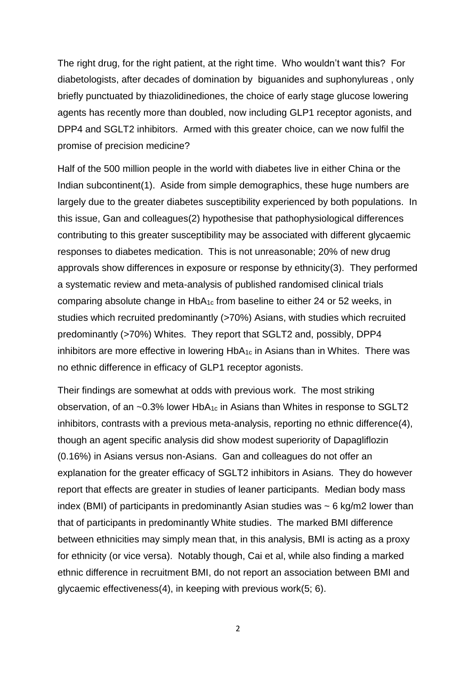The right drug, for the right patient, at the right time. Who wouldn't want this? For diabetologists, after decades of domination by biguanides and suphonylureas , only briefly punctuated by thiazolidinediones, the choice of early stage glucose lowering agents has recently more than doubled, now including GLP1 receptor agonists, and DPP4 and SGLT2 inhibitors. Armed with this greater choice, can we now fulfil the promise of precision medicine?

Half of the 500 million people in the world with diabetes live in either China or the Indian subcontinent(1). Aside from simple demographics, these huge numbers are largely due to the greater diabetes susceptibility experienced by both populations. In this issue, Gan and colleagues(2) hypothesise that pathophysiological differences contributing to this greater susceptibility may be associated with different glycaemic responses to diabetes medication. This is not unreasonable; 20% of new drug approvals show differences in exposure or response by ethnicity(3). They performed a systematic review and meta-analysis of published randomised clinical trials comparing absolute change in HbA1c from baseline to either 24 or 52 weeks, in studies which recruited predominantly (>70%) Asians, with studies which recruited predominantly (>70%) Whites. They report that SGLT2 and, possibly, DPP4 inhibitors are more effective in lowering  $HbA_{1c}$  in Asians than in Whites. There was no ethnic difference in efficacy of GLP1 receptor agonists.

Their findings are somewhat at odds with previous work. The most striking observation, of an ~0.3% lower HbA1c in Asians than Whites in response to SGLT2 inhibitors, contrasts with a previous meta-analysis, reporting no ethnic difference(4), though an agent specific analysis did show modest superiority of Dapagliflozin (0.16%) in Asians versus non-Asians. Gan and colleagues do not offer an explanation for the greater efficacy of SGLT2 inhibitors in Asians. They do however report that effects are greater in studies of leaner participants. Median body mass index (BMI) of participants in predominantly Asian studies was ~ 6 kg/m2 lower than that of participants in predominantly White studies. The marked BMI difference between ethnicities may simply mean that, in this analysis, BMI is acting as a proxy for ethnicity (or vice versa). Notably though, Cai et al, while also finding a marked ethnic difference in recruitment BMI, do not report an association between BMI and glycaemic effectiveness(4), in keeping with previous work(5; 6).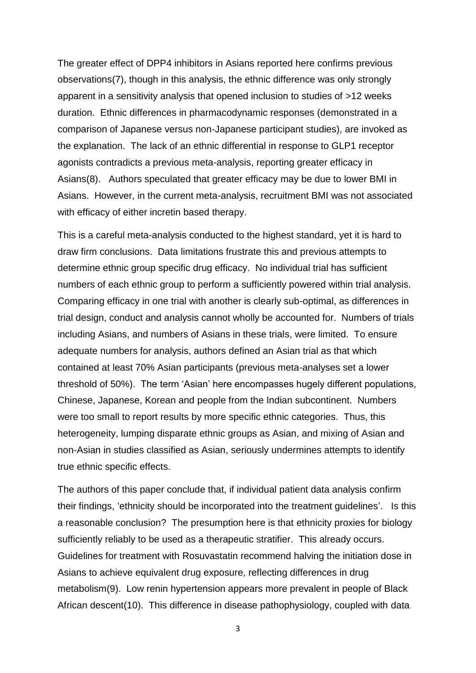The greater effect of DPP4 inhibitors in Asians reported here confirms previous observations(7), though in this analysis, the ethnic difference was only strongly apparent in a sensitivity analysis that opened inclusion to studies of >12 weeks duration. Ethnic differences in pharmacodynamic responses (demonstrated in a comparison of Japanese versus non-Japanese participant studies), are invoked as the explanation. The lack of an ethnic differential in response to GLP1 receptor agonists contradicts a previous meta-analysis, reporting greater efficacy in Asians(8). Authors speculated that greater efficacy may be due to lower BMI in Asians. However, in the current meta-analysis, recruitment BMI was not associated with efficacy of either incretin based therapy.

This is a careful meta-analysis conducted to the highest standard, yet it is hard to draw firm conclusions. Data limitations frustrate this and previous attempts to determine ethnic group specific drug efficacy. No individual trial has sufficient numbers of each ethnic group to perform a sufficiently powered within trial analysis. Comparing efficacy in one trial with another is clearly sub-optimal, as differences in trial design, conduct and analysis cannot wholly be accounted for. Numbers of trials including Asians, and numbers of Asians in these trials, were limited. To ensure adequate numbers for analysis, authors defined an Asian trial as that which contained at least 70% Asian participants (previous meta-analyses set a lower threshold of 50%). The term 'Asian' here encompasses hugely different populations, Chinese, Japanese, Korean and people from the Indian subcontinent. Numbers were too small to report results by more specific ethnic categories. Thus, this heterogeneity, lumping disparate ethnic groups as Asian, and mixing of Asian and non-Asian in studies classified as Asian, seriously undermines attempts to identify true ethnic specific effects.

The authors of this paper conclude that, if individual patient data analysis confirm their findings, 'ethnicity should be incorporated into the treatment guidelines'. Is this a reasonable conclusion? The presumption here is that ethnicity proxies for biology sufficiently reliably to be used as a therapeutic stratifier. This already occurs. Guidelines for treatment with Rosuvastatin recommend halving the initiation dose in Asians to achieve equivalent drug exposure, reflecting differences in drug metabolism(9). Low renin hypertension appears more prevalent in people of Black African descent(10). This difference in disease pathophysiology, coupled with data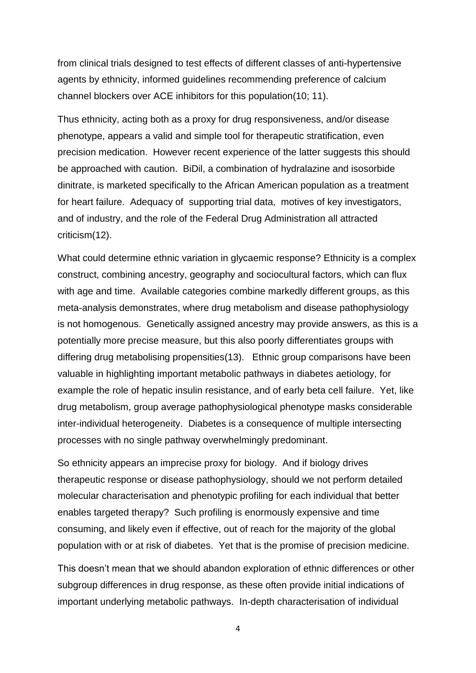from clinical trials designed to test effects of different classes of anti-hypertensive agents by ethnicity, informed guidelines recommending preference of calcium channel blockers over ACE inhibitors for this population(10; 11).

Thus ethnicity, acting both as a proxy for drug responsiveness, and/or disease phenotype, appears a valid and simple tool for therapeutic stratification, even precision medication. However recent experience of the latter suggests this should be approached with caution. BiDil, a combination of hydralazine and isosorbide dinitrate, is marketed specifically to the African American population as a treatment for heart failure. Adequacy of supporting trial data, motives of key investigators, and of industry, and the role of the Federal Drug Administration all attracted criticism(12).

What could determine ethnic variation in glycaemic response? Ethnicity is a complex construct, combining ancestry, geography and sociocultural factors, which can flux with age and time. Available categories combine markedly different groups, as this meta-analysis demonstrates, where drug metabolism and disease pathophysiology is not homogenous. Genetically assigned ancestry may provide answers, as this is a potentially more precise measure, but this also poorly differentiates groups with differing drug metabolising propensities(13). Ethnic group comparisons have been valuable in highlighting important metabolic pathways in diabetes aetiology, for example the role of hepatic insulin resistance, and of early beta cell failure. Yet, like drug metabolism, group average pathophysiological phenotype masks considerable inter-individual heterogeneity. Diabetes is a consequence of multiple intersecting processes with no single pathway overwhelmingly predominant.

So ethnicity appears an imprecise proxy for biology. And if biology drives therapeutic response or disease pathophysiology, should we not perform detailed molecular characterisation and phenotypic profiling for each individual that better enables targeted therapy? Such profiling is enormously expensive and time consuming, and likely even if effective, out of reach for the majority of the global population with or at risk of diabetes. Yet that is the promise of precision medicine.

This doesn't mean that we should abandon exploration of ethnic differences or other subgroup differences in drug response, as these often provide initial indications of important underlying metabolic pathways. In-depth characterisation of individual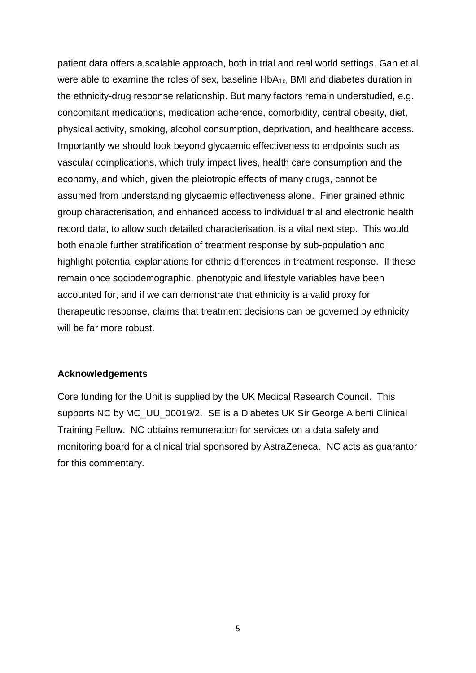patient data offers a scalable approach, both in trial and real world settings. Gan et al were able to examine the roles of sex, baseline HbA<sub>1c</sub>, BMI and diabetes duration in the ethnicity-drug response relationship. But many factors remain understudied, e.g. concomitant medications, medication adherence, comorbidity, central obesity, diet, physical activity, smoking, alcohol consumption, deprivation, and healthcare access. Importantly we should look beyond glycaemic effectiveness to endpoints such as vascular complications, which truly impact lives, health care consumption and the economy, and which, given the pleiotropic effects of many drugs, cannot be assumed from understanding glycaemic effectiveness alone. Finer grained ethnic group characterisation, and enhanced access to individual trial and electronic health record data, to allow such detailed characterisation, is a vital next step. This would both enable further stratification of treatment response by sub-population and highlight potential explanations for ethnic differences in treatment response. If these remain once sociodemographic, phenotypic and lifestyle variables have been accounted for, and if we can demonstrate that ethnicity is a valid proxy for therapeutic response, claims that treatment decisions can be governed by ethnicity will be far more robust.

## **Acknowledgements**

Core funding for the Unit is supplied by the UK Medical Research Council. This supports NC by MC\_UU\_00019/2. SE is a Diabetes UK Sir George Alberti Clinical Training Fellow. NC obtains remuneration for services on a data safety and monitoring board for a clinical trial sponsored by AstraZeneca. NC acts as guarantor for this commentary.